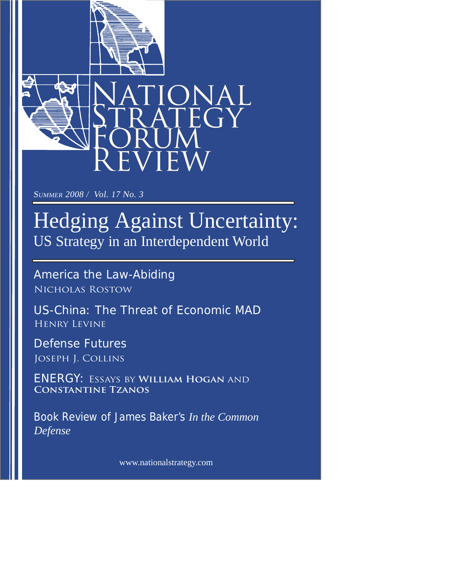



SUMMER 2008 / Vol. 17 No. 3

## Hedging Against Uncertainty: US Strategy in an Interdependent World

America the Law-Abiding Nicholas Rostow

US-China: The Threat of Economic MAD Henry Levine

Defense Futures Joseph J. Collins

ENERGY: Essays by **William Hogan** and **Constantine Tzanos**

Book Review of James Baker's *In the Common Defense*

www.nationalstrategy.com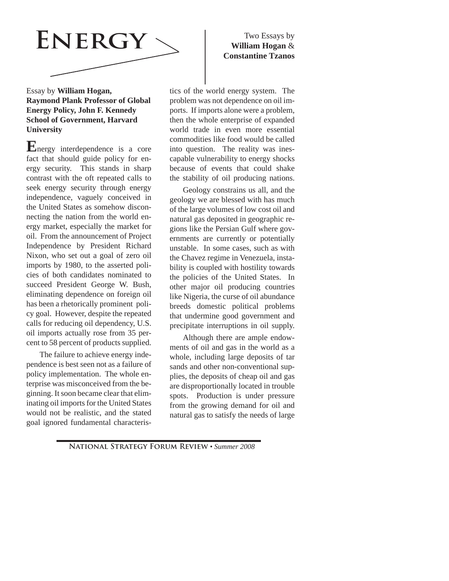

## Essay by **William Hogan, Raymond Plank Professor of Global Energy Policy, John F. Kennedy School of Government, Harvard University**

**E**nergy interdependence is a core fact that should guide policy for energy security. This stands in sharp contrast with the oft repeated calls to seek energy security through energy independence, vaguely conceived in the United States as somehow disconnecting the nation from the world energy market, especially the market for oil. From the announcement of Project Independence by President Richard Nixon, who set out a goal of zero oil imports by 1980, to the asserted policies of both candidates nominated to succeed President George W. Bush, eliminating dependence on foreign oil has been a rhetorically prominent policy goal. However, despite the repeated calls for reducing oil dependency, U.S. oil imports actually rose from 35 percent to 58 percent of products supplied.

The failure to achieve energy independence is best seen not as a failure of policy implementation. The whole enterprise was misconceived from the beginning. It soon became clear that eliminating oil imports for the United States would not be realistic, and the stated goal ignored fundamental characteris-

## Two Essays by **William Hogan** & **Constantine Tzanos**

tics of the world energy system. The problem was not dependence on oil imports. If imports alone were a problem, then the whole enterprise of expanded world trade in even more essential commodities like food would be called into question. The reality was inescapable vulnerability to energy shocks because of events that could shake the stability of oil producing nations.

Geology constrains us all, and the geology we are blessed with has much of the large volumes of low cost oil and natural gas deposited in geographic regions like the Persian Gulf where governments are currently or potentially unstable. In some cases, such as with the Chavez regime in Venezuela, instability is coupled with hostility towards the policies of the United States. In other major oil producing countries like Nigeria, the curse of oil abundance breeds domestic political problems that undermine good government and precipitate interruptions in oil supply.

Although there are ample endowments of oil and gas in the world as a whole, including large deposits of tar sands and other non-conventional supplies, the deposits of cheap oil and gas are disproportionally located in trouble spots. Production is under pressure from the growing demand for oil and natural gas to satisfy the needs of large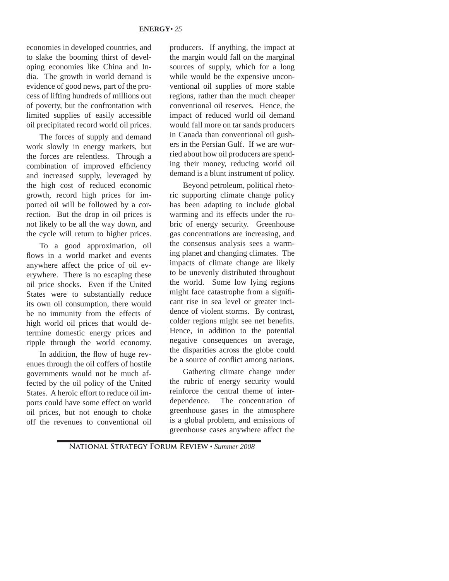economies in developed countries, and to slake the booming thirst of developing economies like China and India. The growth in world demand is evidence of good news, part of the process of lifting hundreds of millions out of poverty, but the confrontation with limited supplies of easily accessible oil precipitated record world oil prices.

The forces of supply and demand work slowly in energy markets, but the forces are relentless. Through a combination of improved efficiency and increased supply, leveraged by the high cost of reduced economic growth, record high prices for imported oil will be followed by a correction. But the drop in oil prices is not likely to be all the way down, and the cycle will return to higher prices.

To a good approximation, oil flows in a world market and events anywhere affect the price of oil everywhere. There is no escaping these oil price shocks. Even if the United States were to substantially reduce its own oil consumption, there would be no immunity from the effects of high world oil prices that would determine domestic energy prices and ripple through the world economy.

In addition, the flow of huge revenues through the oil coffers of hostile governments would not be much affected by the oil policy of the United States. A heroic effort to reduce oil imports could have some effect on world oil prices, but not enough to choke off the revenues to conventional oil

producers. If anything, the impact at the margin would fall on the marginal sources of supply, which for a long while would be the expensive unconventional oil supplies of more stable regions, rather than the much cheaper conventional oil reserves. Hence, the impact of reduced world oil demand would fall more on tar sands producers in Canada than conventional oil gushers in the Persian Gulf. If we are worried about how oil producers are spending their money, reducing world oil demand is a blunt instrument of policy.

Beyond petroleum, political rhetoric supporting climate change policy has been adapting to include global warming and its effects under the rubric of energy security. Greenhouse gas concentrations are increasing, and the consensus analysis sees a warming planet and changing climates. The impacts of climate change are likely to be unevenly distributed throughout the world. Some low lying regions might face catastrophe from a significant rise in sea level or greater incidence of violent storms. By contrast, colder regions might see net benefits. Hence, in addition to the potential negative consequences on average, the disparities across the globe could be a source of conflict among nations.

Gathering climate change under the rubric of energy security would reinforce the central theme of interdependence. The concentration of greenhouse gases in the atmosphere is a global problem, and emissions of greenhouse cases anywhere affect the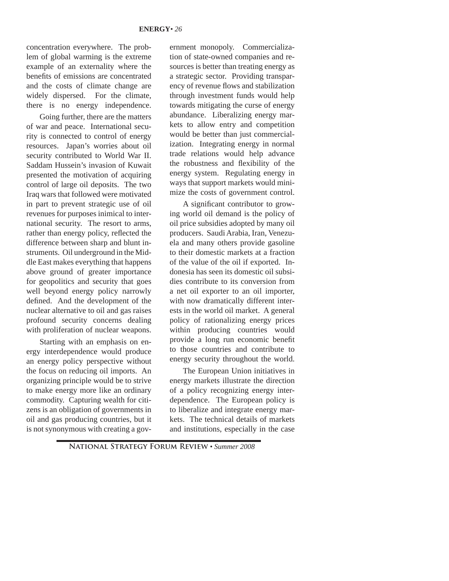concentration everywhere. The problem of global warming is the extreme example of an externality where the benefits of emissions are concentrated and the costs of climate change are widely dispersed. For the climate, there is no energy independence.

Going further, there are the matters of war and peace. International security is connected to control of energy resources. Japan's worries about oil security contributed to World War II. Saddam Hussein's invasion of Kuwait presented the motivation of acquiring control of large oil deposits. The two Iraq wars that followed were motivated in part to prevent strategic use of oil revenues for purposes inimical to international security. The resort to arms, rather than energy policy, reflected the difference between sharp and blunt instruments. Oil underground in the Middle East makes everything that happens above ground of greater importance for geopolitics and security that goes well beyond energy policy narrowly defined. And the development of the nuclear alternative to oil and gas raises profound security concerns dealing with proliferation of nuclear weapons.

Starting with an emphasis on energy interdependence would produce an energy policy perspective without the focus on reducing oil imports. An organizing principle would be to strive to make energy more like an ordinary commodity. Capturing wealth for citizens is an obligation of governments in oil and gas producing countries, but it is not synonymous with creating a government monopoly. Commercialization of state-owned companies and resources is better than treating energy as a strategic sector. Providing transparency of revenue flows and stabilization through investment funds would help towards mitigating the curse of energy abundance. Liberalizing energy markets to allow entry and competition would be better than just commercialization. Integrating energy in normal trade relations would help advance the robustness and flexibility of the energy system. Regulating energy in ways that support markets would minimize the costs of government control.

A significant contributor to growing world oil demand is the policy of oil price subsidies adopted by many oil producers. Saudi Arabia, Iran, Venezuela and many others provide gasoline to their domestic markets at a fraction of the value of the oil if exported. Indonesia has seen its domestic oil subsidies contribute to its conversion from a net oil exporter to an oil importer, with now dramatically different interests in the world oil market. A general policy of rationalizing energy prices within producing countries would provide a long run economic benefit to those countries and contribute to energy security throughout the world.

The European Union initiatives in energy markets illustrate the direction of a policy recognizing energy interdependence. The European policy is to liberalize and integrate energy markets. The technical details of markets and institutions, especially in the case